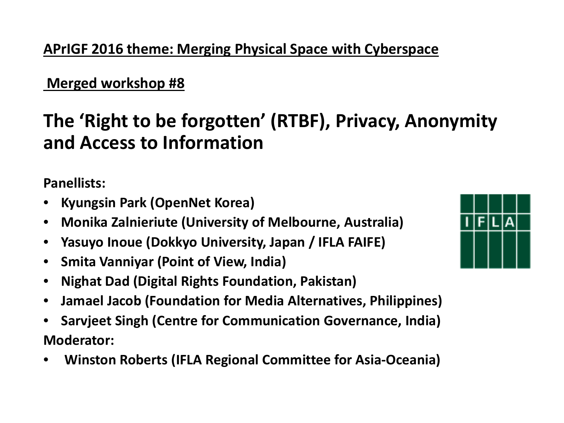### **APrIGF 2016 theme: Merging Physical Space with Cyberspace**

#### **Merged workshop #8**

## **The 'Right to be forgotten' (RTBF), Privacy, Anonymity and Access to Information**

**Panellists:**

- **Kyungsin Park (OpenNet Korea)**
- **Monika Zalnieriute (University of Melbourne, Australia)**
- **Yasuyo Inoue (Dokkyo University, Japan / IFLA FAIFE)**
- **Smita Vanniyar (Point of View, India)**
- **Nighat Dad (Digital Rights Foundation, Pakistan)**
- **Jamael Jacob (Foundation for Media Alternatives, Philippines)**
- **Sarvjeet Singh (Centre for Communication Governance, India) Moderator:**
- **Winston Roberts (IFLA Regional Committee for Asia-Oceania)**

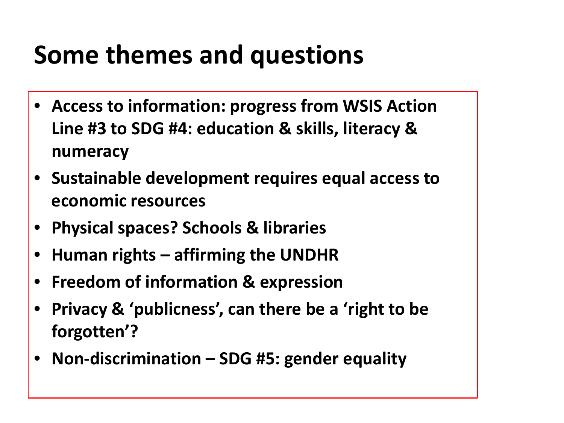## **Some themes and questions**

- **Access to information: progress from WSIS Action Line #3 to SDG #4: education & skills, literacy & numeracy**
- **Sustainable development requires equal access to economic resources**
- **Physical spaces? Schools & libraries**
- **Human rights – affirming the UNDHR**
- **Freedom of information & expression**
- **Privacy & 'publicness', can there be a 'right to be forgotten'?**
- **Non-discrimination – SDG #5: gender equality**